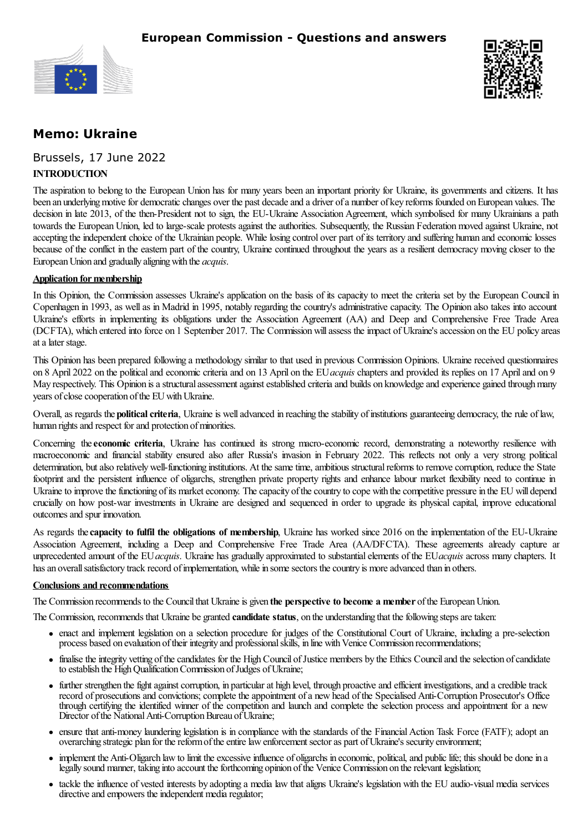



# **Memo: Ukraine**

Brussels, 17 June 2022

### **INTRODUCTION**

The aspiration to belong to the European Union has for many years been an important priority for Ukraine, its governments and citizens. It has been an underlying motive for democratic changes over the past decade and a driver of a number of key reforms founded on European values. The decision in late 2013, of the then-President not to sign, the EU-Ukraine Association Agreement, which symbolised for many Ukrainians a path towards the European Union, led to large-scale protests against the authorities. Subsequently, the Russian Federation moved against Ukraine, not accepting the independent choice of the Ukrainian people. While losing control over part of its territory and suffering human and economic losses because of the conflict in the eastern part of the country, Ukraine continued throughout the years as a resilient democracy moving closer to the EuropeanUnion and gradually aligningwith the *acquis*.

#### **Application** for membership

In this Opinion, the Commission assesses Ukraine's application on the basis of its capacity to meet the criteria set by the European Council in Copenhagen in 1993, as wellas in Madrid in 1995, notably regarding the country's administrative capacity. The Opinion also takes into account Ukraine's efforts in implementing its obligations under the Association Agreement (AA) and Deep and Comprehensive Free Trade Area (DCFTA), which entered into force on 1 September 2017. The Commission will assess the impact of Ukraine's accession on the EU policy areas atalater stage.

This Opinion has been prepared following a methodology similar to that used in previous Commission Opinions. Ukraine received questionnaires on 8 April 2022 on the politicaland economic criteria and on 13 April on the EU*acquis* chapters and provided its replies on 17 Apriland on 9 May respectively. This Opinion is a structural assessment against established criteria and builds on knowledge and experience gained through many years of close cooperation of the EU with Ukraine.

Overall, as regards the **political criteria**, Ukraine is well advanced in reaching the stability of institutions guaranteeing democracy, the rule of law, human rights and respect for and protection of minorities.

Concerning the**economic criteria**, Ukraine has continued its strong macro-economic record, demonstrating a noteworthy resilience with macroeconomic and financial stability ensured also after Russia's invasion in February 2022. This reflects not only a very strong political determination, but also relatively well-functioning institutions. At the same time, ambitious structural reforms to remove corruption, reduce the State footprint and the persistent influence of oligarchs, strengthen private property rights and enhance labour market flexibility need to continue in Ukraine to improve the functioning of its market economy. The capacity of the country to cope with the competitive pressure in the EU will depend crucially on how post-war investments in Ukraine are designed and sequenced in order to upgrade its physical capital, improve educational outcomes and spur innovation.

As regards the**capacity to fulfil the obligations of membership**, Ukraine has worked since 2016 on the implementation of the EU-Ukraine Association Agreement, including a Deep and Comprehensive Free Trade Area (AA/DFCTA). These agreements already capture an unprecedented amount of the EU*acquis*. Ukraine has gradually approximated to substantialelements of the EU*acquis* across many chapters. It has an overall satisfactory track record of implementation, while in some sectors the country is more advanced than in others.

#### **Conclusions and recommendations**

The Commission recommends to the Councilthat Ukraineis given **the perspective to become a member** ofthe EuropeanUnion.

The Commission, recommends that Ukraine be granted **candidate status**, on the understanding that thefollowing stepsaretaken:

- enact and implement legislation on a selection procedure for judges of the Constitutional Court of Ukraine, including a pre-selection process based on evaluation of their integrity and professional skills, in line with Venice Commission recommendations;
- finalise the integrity vetting of the candidates for the High Council of Justice members by the Ethics Council and the selection of candidate to establish the High Qualification Commission of Judges of Ukraine;
- further strengthen the fight against corruption, in particular at high level, through proactive and efficient investigations, and a credible track record of prosecutions and convictions; complete the appointment of a new head of the Specialised Anti-Corruption Prosecutor's Office through certifying the identified winner of the competition and launch and complete the selection process and appointment for a new Director of the National Anti-Corruption Bureau of Ukraine;
- ensure that anti-money laundering legislation is in compliance with the standards of the Financial Action Task Force (FATF); adopt an overarching strategic plan for the reform of the entire law enforcement sector as part of Ukraine's security environment;
- implement the Anti-Oligarch law to limit the excessive influence of oligarchs in economic, political, and public life; this should be done in a legally sound manner, taking into account the forthcoming opinion of the Venice Commission on the relevant legislation;
- tackle the influence of vested interests by adopting a media law that aligns Ukraine's legislation with the EU audio-visualmedia services directive and empowers the independent media regulator;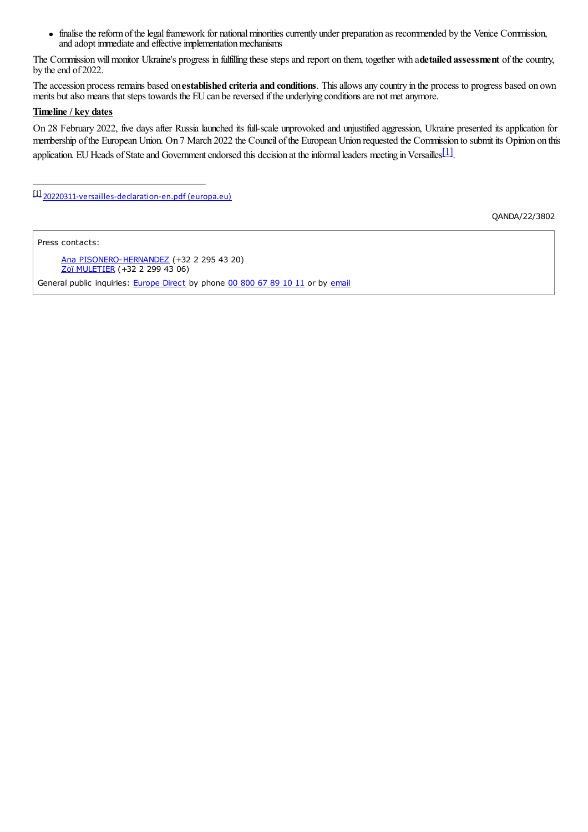finalise the reform of the legal framework for national minorities currently under preparation as recommended by the Venice Commission,  $\bullet$ and adopt immediate and effective implementation mechanisms

The Commissionwillmonitor Ukraine's progress in fulfilling these steps and report on them, together with a**detailed assessment** of the country, by the end of 2022.

The accession process remains based on**established criteria and conditions**. Thisallowsany country in the process to progress based on own merits but also means that steps towards the EU can be reversed if the underlying conditions are not met anymore.

#### **Timeline / key dates**

On 28 February 2022, five days after Russia launched its full-scale unprovoked and unjustified aggression, Ukraine presented its application for membership of the European Union. On 7 March 2022 the Council of the European Union requested the Commission to submit its Opinion on this application. EU Heads of State and Government endorsed this decision at the informal leaders meeting in Versailles

<span id="page-1-0"></span>[\[1\]](#page-1-1) [20220311-versailles-declaration-en.pdf](https://www.consilium.europa.eu/media/54773/20220311-versailles-declaration-en.pdf) (europa.eu)

<span id="page-1-1"></span>QANDA/22/3802

Press contacts:

<span id="page-1-4"></span><span id="page-1-3"></span><span id="page-1-2"></span>Ana [PISONERO-HERNANDEZ](mailto:ana.pisonero-hernandez@ec.europa.eu) (+32 2 295 43 20) Zoï [MULETIER](mailto:Zoi.MULETIER@ec.europa.eu) (+32 2 299 43 06) General public inquiries: **[Europe](http://europa.eu/contact/) Direct** by phone 00 [800](http://europa.eu/contact/call-us/index_en.htm) 67 89 10 11 or by [email](http://europa.eu/contact/write-to-us/index_en.htm)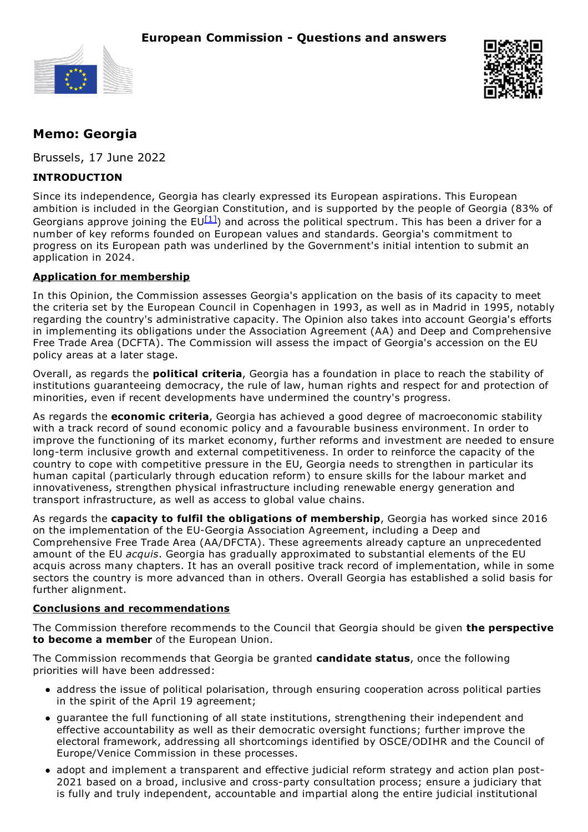



# **Memo: Georgia**

Brussels, 17 June 2022

## **INTRODUCTION**

Since its independence, Georgia has clearly expressed its European aspirations. This European ambition is included in the Georgian Constitution, and is supported by the people of Georgia (83% of Georgians approve joining the EU $^{[1]}$  $^{[1]}$  $^{[1]}$ ) and across the political spectrum. This has been a driver for a number of key reforms founded on European values and standards. Georgia's commitment to progress on its European path was underlined by the Government's initial intention to submit an application in 2024.

### **Application for membership**

In this Opinion, the Commission assesses Georgia's application on the basis of its capacity to meet the criteria set by the European Council in Copenhagen in 1993, as well as in Madrid in 1995, notably regarding the country's administrative capacity. The Opinion also takes into account Georgia's efforts in implementing its obligations under the Association Agreement (AA) and Deep and Comprehensive Free Trade Area (DCFTA). The Commission will assess the impact of Georgia's accession on the EU policy areas at a later stage.

Overall, as regards the **political criteria**, Georgia has a foundation in place to reach the stability of institutions guaranteeing democracy, the rule of law, human rights and respect for and protection of minorities, even if recent developments have undermined the country's progress.

As regards the **economic criteria**, Georgia has achieved a good degree of macroeconomic stability with a track record of sound economic policy and a favourable business environment. In order to improve the functioning of its market economy, further reforms and investment are needed to ensure long-term inclusive growth and external competitiveness. In order to reinforce the capacity of the country to cope with competitive pressure in the EU, Georgia needs to strengthen in particular its human capital (particularly through education reform) to ensure skills for the labour market and innovativeness, strengthen physical infrastructure including renewable energy generation and transport infrastructure, as well as access to global value chains.

As regards the **capacity to fulfil the obligations of membership**, Georgia has worked since 2016 on the implementation of the EU-Georgia Association Agreement, including a Deep and Comprehensive Free Trade Area (AA/DFCTA). These agreements already capture an unprecedented amount of the EU *acquis*. Georgia has gradually approximated to substantial elements of the EU acquis across many chapters. It has an overall positive track record of implementation, while in some sectors the country is more advanced than in others. Overall Georgia has established a solid basis for further alignment.

#### **Conclusions and recommendations**

The Commission therefore recommends to the Council that Georgia should be given **the perspective to become a member** of the European Union.

The Commission recommends that Georgia be granted **candidate status**, once the following priorities will have been addressed:

- address the issue of political polarisation, through ensuring cooperation across political parties in the spirit of the April 19 agreement;
- guarantee the full functioning of all state institutions, strengthening their independent and effective accountability as well as their democratic oversight functions; further improve the electoral framework, addressing all shortcomings identified by OSCE/ODIHR and the Council of Europe/Venice Commission in these processes.
- adopt and implement a transparent and effective judicial reform strategy and action plan post-2021 based on a broad, inclusive and cross-party consultation process; ensure a judiciary that is fully and truly independent, accountable and impartial along the entire judicial institutional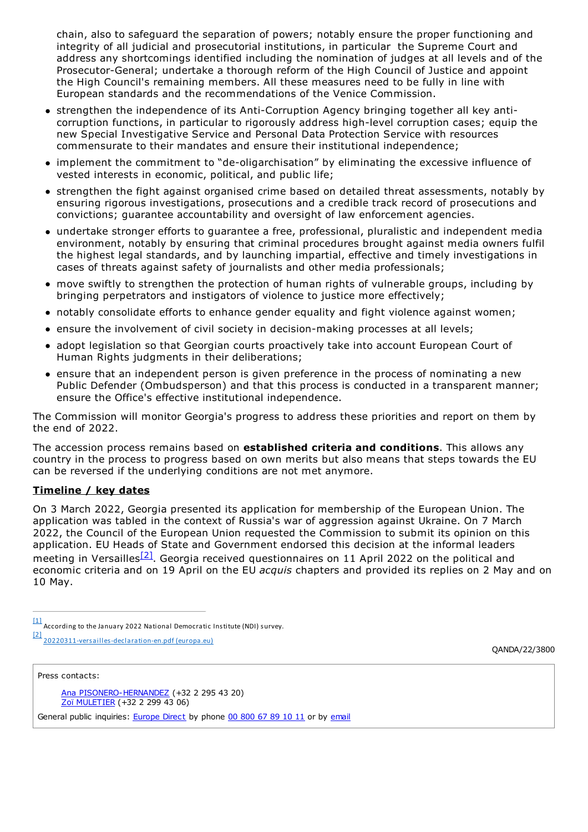chain, also to safeguard the separation of powers; notably ensure the proper functioning and integrity of all judicial and prosecutorial institutions, in particular the Supreme Court and address any shortcomings identified including the nomination of judges at all levels and of the Prosecutor-General; undertake a thorough reform of the High Council of Justice and appoint the High Council's remaining members. All these measures need to be fully in line with European standards and the recommendations of the Venice Commission.

- strengthen the independence of its Anti-Corruption Agency bringing together all key anticorruption functions, in particular to rigorously address high-level corruption cases; equip the new Special Investigative Service and Personal Data Protection Service with resources commensurate to their mandates and ensure their institutional independence;
- implement the commitment to "de-oligarchisation" by eliminating the excessive influence of vested interests in economic, political, and public life;
- strengthen the fight against organised crime based on detailed threat assessments, notably by ensuring rigorous investigations, prosecutions and a credible track record of prosecutions and convictions; guarantee accountability and oversight of law enforcement agencies.
- undertake stronger efforts to guarantee a free, professional, pluralistic and independent media environment, notably by ensuring that criminal procedures brought against media owners fulfil the highest legal standards, and by launching impartial, effective and timely investigations in cases of threats against safety of journalists and other media professionals;
- move swiftly to strengthen the protection of human rights of vulnerable groups, including by bringing perpetrators and instigators of violence to justice more effectively;
- notably consolidate efforts to enhance gender equality and fight violence against women;
- ensure the involvement of civil society in decision-making processes at all levels;
- adopt legislation so that Georgian courts proactively take into account European Court of Human Rights judgments in their deliberations;
- $\bullet$  ensure that an independent person is given preference in the process of nominating a new Public Defender (Ombudsperson) and that this process is conducted in a transparent manner; ensure the Office's effective institutional independence.

The Commission will monitor Georgia's progress to address these priorities and report on them by the end of 2022.

The accession process remains based on **established criteria and conditions**. This allows any country in the process to progress based on own merits but also means that steps towards the EU can be reversed if the underlying conditions are not met anymore.

#### **Timeline / key dates**

On 3 March 2022, Georgia presented its application for membership of the European Union. The application was tabled in the context of Russia's war of aggression against Ukraine. On 7 March 2022, the Council of the European Union requested the Commission to submit its opinion on this application. EU Heads of State and Government endorsed this decision at the informal leaders meeting in Versailles<sup>[\[2\]](#page-1-3)</sup>. Georgia received questionnaires on 11 April 2022 on the political and economic criteria and on 19 April on the EU *acquis* chapters and provided its replies on 2 May and on 10 May.

- $\frac{[1]}{[1]}$  According to the January 2022 National Democratic Institute (NDI) survey.
- [2] [20220311-versailles-declaration-en.pdf](https://www.consilium.europa.eu/media/54773/20220311-versailles-declaration-en.pdf) (europa.eu)

QANDA/22/3800

Press contacts:

Ana [PISONERO-HERNANDEZ](mailto:ana.pisonero-hernandez@ec.europa.eu) (+32 2 295 43 20) Zoï [MULETIER](mailto:Zoi.MULETIER@ec.europa.eu) (+32 2 299 43 06)

General public inquiries: [Europe](http://europa.eu/contact/) Direct by phone 00 [800](http://europa.eu/contact/call-us/index_en.htm) 67 89 10 11 or by [email](http://europa.eu/contact/write-to-us/index_en.htm)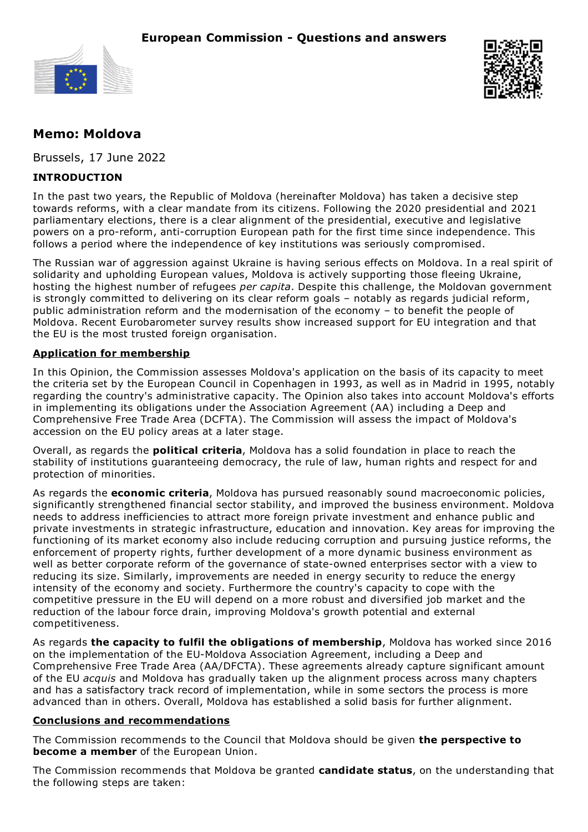



# **Memo: Moldova**

Brussels, 17 June 2022

## **INTRODUCTION**

In the past two years, the Republic of Moldova (hereinafter Moldova) has taken a decisive step towards reforms, with a clear mandate from its citizens. Following the 2020 presidential and 2021 parliamentary elections, there is a clear alignment of the presidential, executive and legislative powers on a pro-reform, anti-corruption European path for the first time since independence. This follows a period where the independence of key institutions was seriously compromised.

The Russian war of aggression against Ukraine is having serious effects on Moldova. In a real spirit of solidarity and upholding European values, Moldova is actively supporting those fleeing Ukraine, hosting the highest number of refugees *per capita*. Despite this challenge, the Moldovan government is strongly committed to delivering on its clear reform goals – notably as regards judicial reform, public administration reform and the modernisation of the economy – to benefit the people of Moldova. Recent Eurobarometer survey results show increased support for EU integration and that the EU is the most trusted foreign organisation.

### **Application for membership**

In this Opinion, the Commission assesses Moldova's application on the basis of its capacity to meet the criteria set by the European Council in Copenhagen in 1993, as well as in Madrid in 1995, notably regarding the country's administrative capacity. The Opinion also takes into account Moldova's efforts in implementing its obligations under the Association Agreement (AA) including a Deep and Comprehensive Free Trade Area (DCFTA). The Commission will assess the impact of Moldova's accession on the EU policy areas at a later stage.

Overall, as regards the **political criteria**, Moldova has a solid foundation in place to reach the stability of institutions guaranteeing democracy, the rule of law, human rights and respect for and protection of minorities.

As regards the **economic criteria**, Moldova has pursued reasonably sound macroeconomic policies, significantly strengthened financial sector stability, and improved the business environment. Moldova needs to address inefficiencies to attract more foreign private investment and enhance public and private investments in strategic infrastructure, education and innovation. Key areas for improving the functioning of its market economy also include reducing corruption and pursuing justice reforms, the enforcement of property rights, further development of a more dynamic business environment as well as better corporate reform of the governance of state-owned enterprises sector with a view to reducing its size. Similarly, improvements are needed in energy security to reduce the energy intensity of the economy and society. Furthermore the country's capacity to cope with the competitive pressure in the EU will depend on a more robust and diversified job market and the reduction of the labour force drain, improving Moldova's growth potential and external competitiveness.

As regards **the capacity to fulfil the obligations of membership**, Moldova has worked since 2016 on the implementation of the EU-Moldova Association Agreement, including a Deep and Comprehensive Free Trade Area (AA/DFCTA). These agreements already capture significant amount of the EU *acquis* and Moldova has gradually taken up the alignment process across many chapters and has a satisfactory track record of implementation, while in some sectors the process is more advanced than in others. Overall, Moldova has established a solid basis for further alignment.

#### **Conclusions and recommendations**

The Commission recommends to the Council that Moldova should be given **the perspective to become a member** of the European Union.

The Commission recommends that Moldova be granted **candidate status**, on the understanding that the following steps are taken: